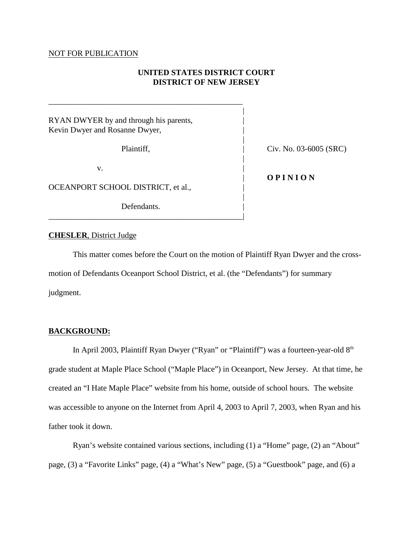### NOT FOR PUBLICATION

# **UNITED STATES DISTRICT COURT DISTRICT OF NEW JERSEY**

|

|

|

|

RYAN DWYER by and through his parents, Kevin Dwyer and Rosanne Dwyer,

\_\_\_\_\_\_\_\_\_\_\_\_\_\_\_\_\_\_\_\_\_\_\_\_\_\_\_\_\_\_\_\_\_\_\_\_\_\_\_\_\_\_\_\_\_\_\_\_

 $\mathbf v$ .

OCEANPORT SCHOOL DISTRICT, et al.,

Defendants.

\_\_\_\_\_\_\_\_\_\_\_\_\_\_\_\_\_\_\_\_\_\_\_\_\_\_\_\_\_\_\_\_\_\_\_\_\_\_\_\_\_\_\_\_\_\_\_\_|

Plaintiff,  $\qquad \qquad$  Civ. No. 03-6005 (SRC)

## | **O P I N I O N**

### **CHESLER**, District Judge

This matter comes before the Court on the motion of Plaintiff Ryan Dwyer and the crossmotion of Defendants Oceanport School District, et al. (the "Defendants") for summary judgment.

### **BACKGROUND:**

In April 2003, Plaintiff Ryan Dwyer ("Ryan" or "Plaintiff") was a fourteen-year-old  $8<sup>th</sup>$ grade student at Maple Place School ("Maple Place") in Oceanport, New Jersey. At that time, he created an "I Hate Maple Place" website from his home, outside of school hours. The website was accessible to anyone on the Internet from April 4, 2003 to April 7, 2003, when Ryan and his father took it down.

Ryan's website contained various sections, including (1) a "Home" page, (2) an "About" page, (3) a "Favorite Links" page, (4) a "What's New" page, (5) a "Guestbook" page, and (6) a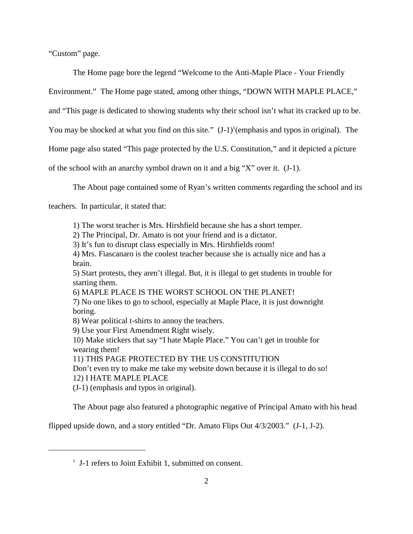"Custom" page.

The Home page bore the legend "Welcome to the Anti-Maple Place - Your Friendly

Environment." The Home page stated, among other things, "DOWN WITH MAPLE PLACE,"

and "This page is dedicated to showing students why their school isn't what its cracked up to be.

You may be shocked at what you find on this site."  $(J-1)^1$  (emphasis and typos in original). The

Home page also stated "This page protected by the U.S. Constitution," and it depicted a picture

of the school with an anarchy symbol drawn on it and a big "X" over it. (J-1).

The About page contained some of Ryan's written comments regarding the school and its

teachers. In particular, it stated that:

1) The worst teacher is Mrs. Hirshfield because she has a short temper.

2) The Principal, Dr. Amato is not your friend and is a dictator.

3) It's fun to disrupt class especially in Mrs. Hirshfields room!

4) Mrs. Fiascanaro is the coolest teacher because she is actually nice and has a brain.

5) Start protests, they aren't illegal. But, it is illegal to get students in trouble for starting them.

```
6) MAPLE PLACE IS THE WORST SCHOOL ON THE PLANET!
```
7) No one likes to go to school, especially at Maple Place, it is just downright boring.

8) Wear political t-shirts to annoy the teachers.

9) Use your First Amendment Right wisely.

10) Make stickers that say "I hate Maple Place." You can't get in trouble for wearing them!

11) THIS PAGE PROTECTED BY THE US CONSTITUTION

Don't even try to make me take my website down because it is illegal to do so! 12) I HATE MAPLE PLACE

(J-1) (emphasis and typos in original).

The About page also featured a photographic negative of Principal Amato with his head

flipped upside down, and a story entitled "Dr. Amato Flips Out 4/3/2003." (J-1, J-2).

 $<sup>1</sup>$  J-1 refers to Joint Exhibit 1, submitted on consent.</sup>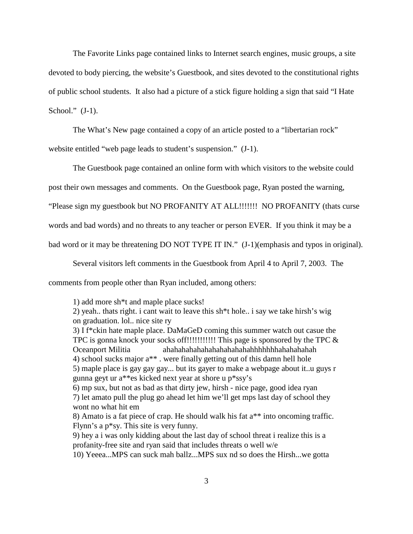The Favorite Links page contained links to Internet search engines, music groups, a site devoted to body piercing, the website's Guestbook, and sites devoted to the constitutional rights of public school students. It also had a picture of a stick figure holding a sign that said "I Hate School."  $(J-1)$ .

The What's New page contained a copy of an article posted to a "libertarian rock"

website entitled "web page leads to student's suspension." (J-1).

The Guestbook page contained an online form with which visitors to the website could

post their own messages and comments. On the Guestbook page, Ryan posted the warning,

"Please sign my guestbook but NO PROFANITY AT ALL!!!!!!! NO PROFANITY (thats curse

words and bad words) and no threats to any teacher or person EVER. If you think it may be a

bad word or it may be threatening DO NOT TYPE IT IN." (J-1)(emphasis and typos in original).

Several visitors left comments in the Guestbook from April 4 to April 7, 2003. The

comments from people other than Ryan included, among others:

1) add more sh\*t and maple place sucks!

2) yeah.. thats right. i cant wait to leave this sh\*t hole.. i say we take hirsh's wig on graduation. lol.. nice site ry

3) I f\*ckin hate maple place. DaMaGeD coming this summer watch out casue the TPC is gonna knock your socks off!!!!!!!!!!!!!! This page is sponsored by the TPC  $\&$ Oceanport Militia ahahahahahahahahahahahahhhhhhhahahahahah 4) school sucks major a\*\* . were finally getting out of this damn hell hole 5) maple place is gay gay gay... but its gayer to make a webpage about it..u guys r gunna geyt ur a\*\*es kicked next year at shore u p\*ssy's

6) mp sux, but not as bad as that dirty jew, hirsh - nice page, good idea ryan 7) let amato pull the plug go ahead let him we'll get mps last day of school they wont no what hit em

8) Amato is a fat piece of crap. He should walk his fat a\*\* into oncoming traffic. Flynn's a p\*sy. This site is very funny.

9) hey a i was only kidding about the last day of school threat i realize this is a profanity-free site and ryan said that includes threats o well w/e

10) Yeeea...MPS can suck mah ballz...MPS sux nd so does the Hirsh...we gotta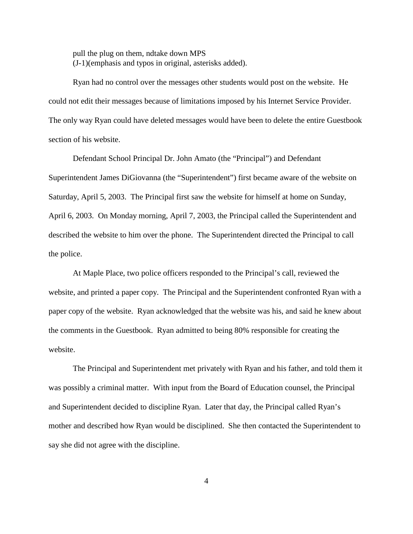pull the plug on them, ndtake down MPS (J-1)(emphasis and typos in original, asterisks added).

Ryan had no control over the messages other students would post on the website. He could not edit their messages because of limitations imposed by his Internet Service Provider. The only way Ryan could have deleted messages would have been to delete the entire Guestbook section of his website.

Defendant School Principal Dr. John Amato (the "Principal") and Defendant Superintendent James DiGiovanna (the "Superintendent") first became aware of the website on Saturday, April 5, 2003. The Principal first saw the website for himself at home on Sunday, April 6, 2003. On Monday morning, April 7, 2003, the Principal called the Superintendent and described the website to him over the phone. The Superintendent directed the Principal to call the police.

At Maple Place, two police officers responded to the Principal's call, reviewed the website, and printed a paper copy. The Principal and the Superintendent confronted Ryan with a paper copy of the website. Ryan acknowledged that the website was his, and said he knew about the comments in the Guestbook. Ryan admitted to being 80% responsible for creating the website.

The Principal and Superintendent met privately with Ryan and his father, and told them it was possibly a criminal matter. With input from the Board of Education counsel, the Principal and Superintendent decided to discipline Ryan. Later that day, the Principal called Ryan's mother and described how Ryan would be disciplined. She then contacted the Superintendent to say she did not agree with the discipline.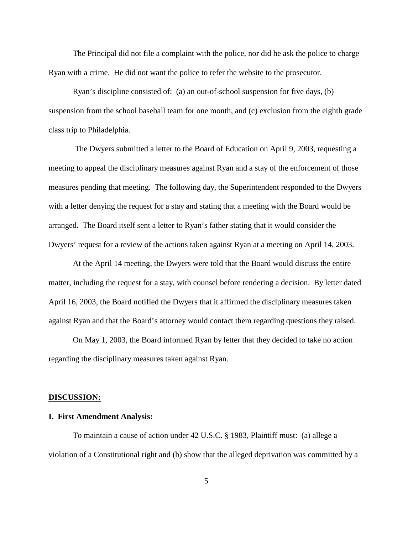The Principal did not file a complaint with the police, nor did he ask the police to charge Ryan with a crime. He did not want the police to refer the website to the prosecutor.

Ryan's discipline consisted of: (a) an out-of-school suspension for five days, (b) suspension from the school baseball team for one month, and (c) exclusion from the eighth grade class trip to Philadelphia.

 The Dwyers submitted a letter to the Board of Education on April 9, 2003, requesting a meeting to appeal the disciplinary measures against Ryan and a stay of the enforcement of those measures pending that meeting. The following day, the Superintendent responded to the Dwyers with a letter denying the request for a stay and stating that a meeting with the Board would be arranged. The Board itself sent a letter to Ryan's father stating that it would consider the Dwyers' request for a review of the actions taken against Ryan at a meeting on April 14, 2003.

At the April 14 meeting, the Dwyers were told that the Board would discuss the entire matter, including the request for a stay, with counsel before rendering a decision. By letter dated April 16, 2003, the Board notified the Dwyers that it affirmed the disciplinary measures taken against Ryan and that the Board's attorney would contact them regarding questions they raised.

On May 1, 2003, the Board informed Ryan by letter that they decided to take no action regarding the disciplinary measures taken against Ryan.

#### **DISCUSSION:**

### **I. First Amendment Analysis:**

To maintain a cause of action under 42 U.S.C. § 1983, Plaintiff must: (a) allege a violation of a Constitutional right and (b) show that the alleged deprivation was committed by a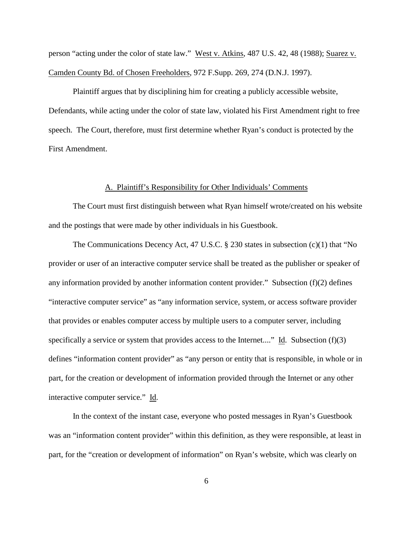person "acting under the color of state law." West v. Atkins, 487 U.S. 42, 48 (1988); Suarez v. Camden County Bd. of Chosen Freeholders, 972 F.Supp. 269, 274 (D.N.J. 1997).

Plaintiff argues that by disciplining him for creating a publicly accessible website, Defendants, while acting under the color of state law, violated his First Amendment right to free speech. The Court, therefore, must first determine whether Ryan's conduct is protected by the First Amendment.

### A. Plaintiff's Responsibility for Other Individuals' Comments

The Court must first distinguish between what Ryan himself wrote/created on his website and the postings that were made by other individuals in his Guestbook.

The Communications Decency Act, 47 U.S.C. § 230 states in subsection (c)(1) that "No provider or user of an interactive computer service shall be treated as the publisher or speaker of any information provided by another information content provider." Subsection  $(f)(2)$  defines "interactive computer service" as "any information service, system, or access software provider that provides or enables computer access by multiple users to a computer server, including specifically a service or system that provides access to the Internet...." Id. Subsection (f)(3) defines "information content provider" as "any person or entity that is responsible, in whole or in part, for the creation or development of information provided through the Internet or any other interactive computer service." Id.

In the context of the instant case, everyone who posted messages in Ryan's Guestbook was an "information content provider" within this definition, as they were responsible, at least in part, for the "creation or development of information" on Ryan's website, which was clearly on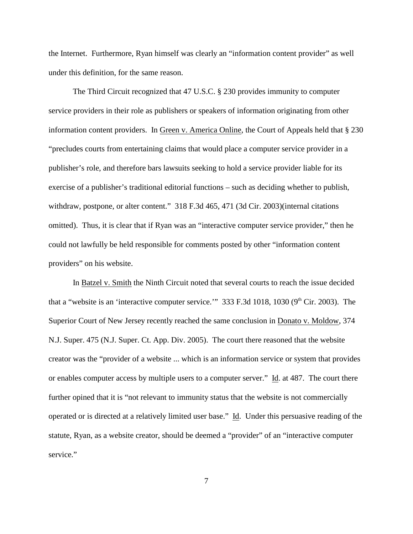the Internet. Furthermore, Ryan himself was clearly an "information content provider" as well under this definition, for the same reason.

The Third Circuit recognized that 47 U.S.C. § 230 provides immunity to computer service providers in their role as publishers or speakers of information originating from other information content providers. In Green v. America Online, the Court of Appeals held that § 230 "precludes courts from entertaining claims that would place a computer service provider in a publisher's role, and therefore bars lawsuits seeking to hold a service provider liable for its exercise of a publisher's traditional editorial functions – such as deciding whether to publish, withdraw, postpone, or alter content." 318 F.3d 465, 471 (3d Cir. 2003)(internal citations omitted). Thus, it is clear that if Ryan was an "interactive computer service provider," then he could not lawfully be held responsible for comments posted by other "information content providers" on his website.

In Batzel v. Smith the Ninth Circuit noted that several courts to reach the issue decided that a "website is an 'interactive computer service.'"  $333$  F.3d 1018, 1030 (9<sup>th</sup> Cir. 2003). The Superior Court of New Jersey recently reached the same conclusion in Donato v. Moldow, 374 N.J. Super. 475 (N.J. Super. Ct. App. Div. 2005). The court there reasoned that the website creator was the "provider of a website ... which is an information service or system that provides or enables computer access by multiple users to a computer server." Id. at 487. The court there further opined that it is "not relevant to immunity status that the website is not commercially operated or is directed at a relatively limited user base." Id. Under this persuasive reading of the statute, Ryan, as a website creator, should be deemed a "provider" of an "interactive computer service."

7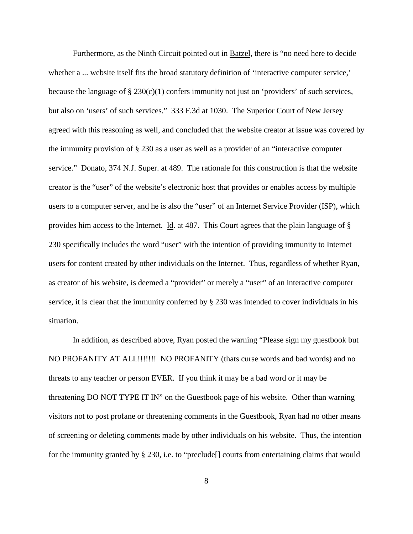Furthermore, as the Ninth Circuit pointed out in Batzel, there is "no need here to decide whether a ... website itself fits the broad statutory definition of 'interactive computer service,' because the language of  $\S 230(c)(1)$  confers immunity not just on 'providers' of such services, but also on 'users' of such services." 333 F.3d at 1030. The Superior Court of New Jersey agreed with this reasoning as well, and concluded that the website creator at issue was covered by the immunity provision of § 230 as a user as well as a provider of an "interactive computer service." Donato, 374 N.J. Super. at 489. The rationale for this construction is that the website creator is the "user" of the website's electronic host that provides or enables access by multiple users to a computer server, and he is also the "user" of an Internet Service Provider (ISP), which provides him access to the Internet. Id. at 487. This Court agrees that the plain language of § 230 specifically includes the word "user" with the intention of providing immunity to Internet users for content created by other individuals on the Internet. Thus, regardless of whether Ryan, as creator of his website, is deemed a "provider" or merely a "user" of an interactive computer service, it is clear that the immunity conferred by § 230 was intended to cover individuals in his situation.

In addition, as described above, Ryan posted the warning "Please sign my guestbook but NO PROFANITY AT ALL!!!!!!! NO PROFANITY (thats curse words and bad words) and no threats to any teacher or person EVER. If you think it may be a bad word or it may be threatening DO NOT TYPE IT IN" on the Guestbook page of his website. Other than warning visitors not to post profane or threatening comments in the Guestbook, Ryan had no other means of screening or deleting comments made by other individuals on his website. Thus, the intention for the immunity granted by § 230, i.e. to "preclude[] courts from entertaining claims that would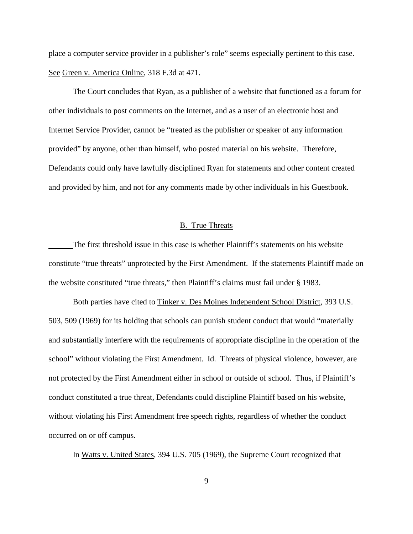place a computer service provider in a publisher's role" seems especially pertinent to this case. See Green v. America Online, 318 F.3d at 471.

The Court concludes that Ryan, as a publisher of a website that functioned as a forum for other individuals to post comments on the Internet, and as a user of an electronic host and Internet Service Provider, cannot be "treated as the publisher or speaker of any information provided" by anyone, other than himself, who posted material on his website. Therefore, Defendants could only have lawfully disciplined Ryan for statements and other content created and provided by him, and not for any comments made by other individuals in his Guestbook.

### B. True Threats

The first threshold issue in this case is whether Plaintiff's statements on his website constitute "true threats" unprotected by the First Amendment. If the statements Plaintiff made on the website constituted "true threats," then Plaintiff's claims must fail under § 1983.

Both parties have cited to Tinker v. Des Moines Independent School District, 393 U.S. 503, 509 (1969) for its holding that schools can punish student conduct that would "materially and substantially interfere with the requirements of appropriate discipline in the operation of the school" without violating the First Amendment. Id. Threats of physical violence, however, are not protected by the First Amendment either in school or outside of school. Thus, if Plaintiff's conduct constituted a true threat, Defendants could discipline Plaintiff based on his website, without violating his First Amendment free speech rights, regardless of whether the conduct occurred on or off campus.

In Watts v. United States, 394 U.S. 705 (1969), the Supreme Court recognized that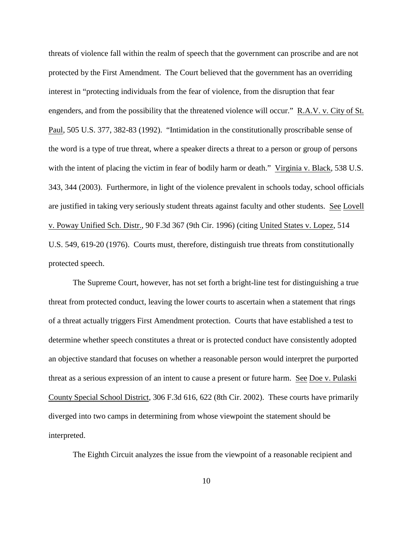threats of violence fall within the realm of speech that the government can proscribe and are not protected by the First Amendment. The Court believed that the government has an overriding interest in "protecting individuals from the fear of violence, from the disruption that fear engenders, and from the possibility that the threatened violence will occur." R.A.V. v. City of St. Paul, 505 U.S. 377, 382-83 (1992). "Intimidation in the constitutionally proscribable sense of the word is a type of true threat, where a speaker directs a threat to a person or group of persons with the intent of placing the victim in fear of bodily harm or death." Virginia v. Black, 538 U.S. 343, 344 (2003). Furthermore, in light of the violence prevalent in schools today, school officials are justified in taking very seriously student threats against faculty and other students. See Lovell v. Poway Unified Sch. Distr., 90 F.3d 367 (9th Cir. 1996) (citing United States v. Lopez, 514 U.S. 549, 619-20 (1976). Courts must, therefore, distinguish true threats from constitutionally protected speech.

The Supreme Court, however, has not set forth a bright-line test for distinguishing a true threat from protected conduct, leaving the lower courts to ascertain when a statement that rings of a threat actually triggers First Amendment protection. Courts that have established a test to determine whether speech constitutes a threat or is protected conduct have consistently adopted an objective standard that focuses on whether a reasonable person would interpret the purported threat as a serious expression of an intent to cause a present or future harm. See Doe v. Pulaski County Special School District, 306 F.3d 616, 622 (8th Cir. 2002). These courts have primarily diverged into two camps in determining from whose viewpoint the statement should be interpreted.

The Eighth Circuit analyzes the issue from the viewpoint of a reasonable recipient and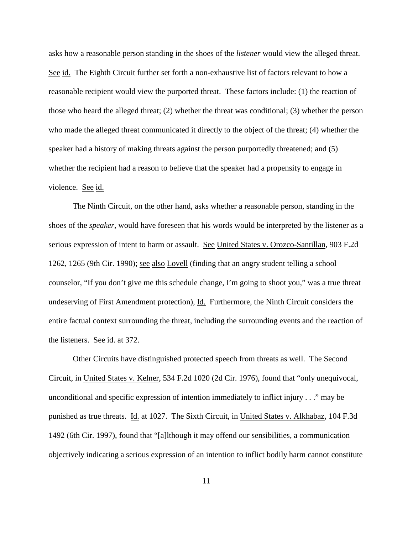asks how a reasonable person standing in the shoes of the *listener* would view the alleged threat. See id. The Eighth Circuit further set forth a non-exhaustive list of factors relevant to how a reasonable recipient would view the purported threat. These factors include: (1) the reaction of those who heard the alleged threat; (2) whether the threat was conditional; (3) whether the person who made the alleged threat communicated it directly to the object of the threat; (4) whether the speaker had a history of making threats against the person purportedly threatened; and (5) whether the recipient had a reason to believe that the speaker had a propensity to engage in violence. See id.

The Ninth Circuit, on the other hand, asks whether a reasonable person, standing in the shoes of the *speaker,* would have foreseen that his words would be interpreted by the listener as a serious expression of intent to harm or assault. See United States v. Orozco-Santillan, 903 F.2d 1262, 1265 (9th Cir. 1990); see also Lovell (finding that an angry student telling a school counselor, "If you don't give me this schedule change, I'm going to shoot you," was a true threat undeserving of First Amendment protection), Id. Furthermore, the Ninth Circuit considers the entire factual context surrounding the threat, including the surrounding events and the reaction of the listeners. See id. at 372.

Other Circuits have distinguished protected speech from threats as well. The Second Circuit, in United States v. Kelner, 534 F.2d 1020 (2d Cir. 1976), found that "only unequivocal, unconditional and specific expression of intention immediately to inflict injury . . ." may be punished as true threats. Id. at 1027. The Sixth Circuit, in United States v. Alkhabaz, 104 F.3d 1492 (6th Cir. 1997), found that "[a]lthough it may offend our sensibilities, a communication objectively indicating a serious expression of an intention to inflict bodily harm cannot constitute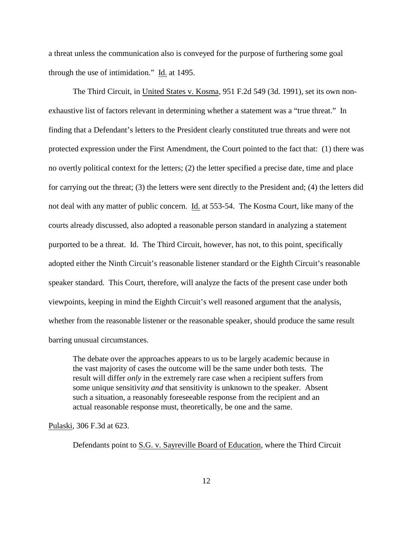a threat unless the communication also is conveyed for the purpose of furthering some goal through the use of intimidation." Id. at 1495.

The Third Circuit, in United States v. Kosma, 951 F.2d 549 (3d. 1991), set its own nonexhaustive list of factors relevant in determining whether a statement was a "true threat." In finding that a Defendant's letters to the President clearly constituted true threats and were not protected expression under the First Amendment, the Court pointed to the fact that: (1) there was no overtly political context for the letters; (2) the letter specified a precise date, time and place for carrying out the threat; (3) the letters were sent directly to the President and; (4) the letters did not deal with any matter of public concern. Id. at 553-54. The Kosma Court, like many of the courts already discussed, also adopted a reasonable person standard in analyzing a statement purported to be a threat. Id. The Third Circuit, however, has not, to this point, specifically adopted either the Ninth Circuit's reasonable listener standard or the Eighth Circuit's reasonable speaker standard. This Court, therefore, will analyze the facts of the present case under both viewpoints, keeping in mind the Eighth Circuit's well reasoned argument that the analysis, whether from the reasonable listener or the reasonable speaker, should produce the same result barring unusual circumstances.

The debate over the approaches appears to us to be largely academic because in the vast majority of cases the outcome will be the same under both tests. The result will differ *only* in the extremely rare case when a recipient suffers from some unique sensitivity *and* that sensitivity is unknown to the speaker. Absent such a situation, a reasonably foreseeable response from the recipient and an actual reasonable response must, theoretically, be one and the same.

Pulaski, 306 F.3d at 623.

Defendants point to S.G. v. Sayreville Board of Education, where the Third Circuit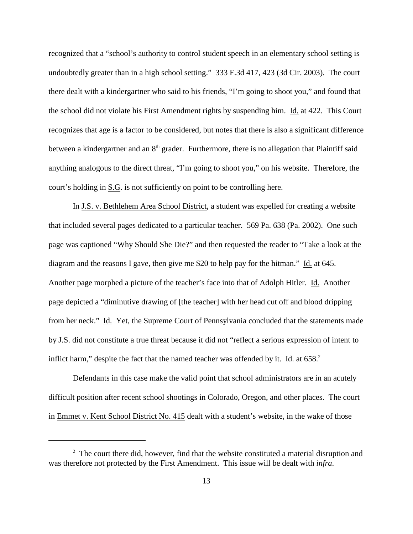recognized that a "school's authority to control student speech in an elementary school setting is undoubtedly greater than in a high school setting." 333 F.3d 417, 423 (3d Cir. 2003). The court there dealt with a kindergartner who said to his friends, "I'm going to shoot you," and found that the school did not violate his First Amendment rights by suspending him. Id. at 422. This Court recognizes that age is a factor to be considered, but notes that there is also a significant difference between a kindergartner and an  $8<sup>th</sup>$  grader. Furthermore, there is no allegation that Plaintiff said anything analogous to the direct threat, "I'm going to shoot you," on his website. Therefore, the court's holding in S.G. is not sufficiently on point to be controlling here.

In J.S. v. Bethlehem Area School District, a student was expelled for creating a website that included several pages dedicated to a particular teacher. 569 Pa. 638 (Pa. 2002). One such page was captioned "Why Should She Die?" and then requested the reader to "Take a look at the diagram and the reasons I gave, then give me \$20 to help pay for the hitman." Id. at 645. Another page morphed a picture of the teacher's face into that of Adolph Hitler. Id. Another page depicted a "diminutive drawing of [the teacher] with her head cut off and blood dripping from her neck." Id. Yet, the Supreme Court of Pennsylvania concluded that the statements made by J.S. did not constitute a true threat because it did not "reflect a serious expression of intent to inflict harm," despite the fact that the named teacher was offended by it. Id. at  $658<sup>2</sup>$ .

Defendants in this case make the valid point that school administrators are in an acutely difficult position after recent school shootings in Colorado, Oregon, and other places. The court in Emmet v. Kent School District No. 415 dealt with a student's website, in the wake of those

 $2\degree$  The court there did, however, find that the website constituted a material disruption and was therefore not protected by the First Amendment. This issue will be dealt with *infra*.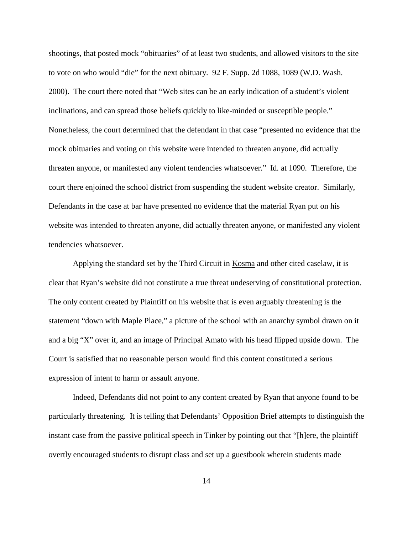shootings, that posted mock "obituaries" of at least two students, and allowed visitors to the site to vote on who would "die" for the next obituary. 92 F. Supp. 2d 1088, 1089 (W.D. Wash. 2000). The court there noted that "Web sites can be an early indication of a student's violent inclinations, and can spread those beliefs quickly to like-minded or susceptible people." Nonetheless, the court determined that the defendant in that case "presented no evidence that the mock obituaries and voting on this website were intended to threaten anyone, did actually threaten anyone, or manifested any violent tendencies whatsoever." Id. at 1090. Therefore, the court there enjoined the school district from suspending the student website creator. Similarly, Defendants in the case at bar have presented no evidence that the material Ryan put on his website was intended to threaten anyone, did actually threaten anyone, or manifested any violent tendencies whatsoever.

Applying the standard set by the Third Circuit in Kosma and other cited caselaw, it is clear that Ryan's website did not constitute a true threat undeserving of constitutional protection. The only content created by Plaintiff on his website that is even arguably threatening is the statement "down with Maple Place," a picture of the school with an anarchy symbol drawn on it and a big "X" over it, and an image of Principal Amato with his head flipped upside down. The Court is satisfied that no reasonable person would find this content constituted a serious expression of intent to harm or assault anyone.

Indeed, Defendants did not point to any content created by Ryan that anyone found to be particularly threatening. It is telling that Defendants' Opposition Brief attempts to distinguish the instant case from the passive political speech in Tinker by pointing out that "[h]ere, the plaintiff overtly encouraged students to disrupt class and set up a guestbook wherein students made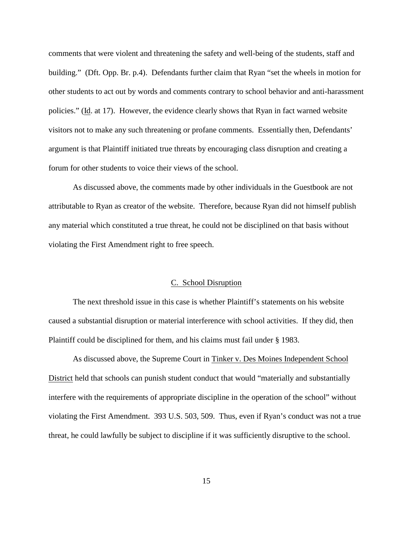comments that were violent and threatening the safety and well-being of the students, staff and building." (Dft. Opp. Br. p.4). Defendants further claim that Ryan "set the wheels in motion for other students to act out by words and comments contrary to school behavior and anti-harassment policies." (Id. at 17). However, the evidence clearly shows that Ryan in fact warned website visitors not to make any such threatening or profane comments. Essentially then, Defendants' argument is that Plaintiff initiated true threats by encouraging class disruption and creating a forum for other students to voice their views of the school.

As discussed above, the comments made by other individuals in the Guestbook are not attributable to Ryan as creator of the website. Therefore, because Ryan did not himself publish any material which constituted a true threat, he could not be disciplined on that basis without violating the First Amendment right to free speech.

### C. School Disruption

The next threshold issue in this case is whether Plaintiff's statements on his website caused a substantial disruption or material interference with school activities. If they did, then Plaintiff could be disciplined for them, and his claims must fail under § 1983.

As discussed above, the Supreme Court in Tinker v. Des Moines Independent School District held that schools can punish student conduct that would "materially and substantially interfere with the requirements of appropriate discipline in the operation of the school" without violating the First Amendment. 393 U.S. 503, 509. Thus, even if Ryan's conduct was not a true threat, he could lawfully be subject to discipline if it was sufficiently disruptive to the school.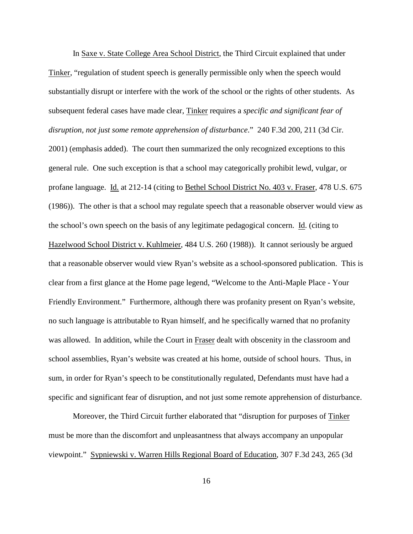In Saxe v. State College Area School District, the Third Circuit explained that under Tinker, "regulation of student speech is generally permissible only when the speech would substantially disrupt or interfere with the work of the school or the rights of other students. As subsequent federal cases have made clear, Tinker requires a *specific and significant fear of disruption, not just some remote apprehension of disturbance*." 240 F.3d 200, 211 (3d Cir. 2001) (emphasis added). The court then summarized the only recognized exceptions to this general rule. One such exception is that a school may categorically prohibit lewd, vulgar, or profane language. Id. at 212-14 (citing to Bethel School District No. 403 v. Fraser, 478 U.S. 675 (1986)). The other is that a school may regulate speech that a reasonable observer would view as the school's own speech on the basis of any legitimate pedagogical concern. Id. (citing to Hazelwood School District v. Kuhlmeier, 484 U.S. 260 (1988)). It cannot seriously be argued that a reasonable observer would view Ryan's website as a school-sponsored publication. This is clear from a first glance at the Home page legend, "Welcome to the Anti-Maple Place - Your Friendly Environment." Furthermore, although there was profanity present on Ryan's website, no such language is attributable to Ryan himself, and he specifically warned that no profanity was allowed. In addition, while the Court in Fraser dealt with obscenity in the classroom and school assemblies, Ryan's website was created at his home, outside of school hours. Thus, in sum, in order for Ryan's speech to be constitutionally regulated, Defendants must have had a specific and significant fear of disruption, and not just some remote apprehension of disturbance.

Moreover, the Third Circuit further elaborated that "disruption for purposes of Tinker must be more than the discomfort and unpleasantness that always accompany an unpopular viewpoint." Sypniewski v. Warren Hills Regional Board of Education, 307 F.3d 243, 265 (3d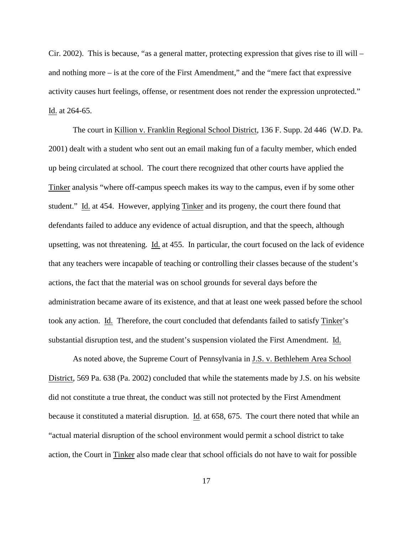Cir. 2002). This is because, "as a general matter, protecting expression that gives rise to ill will – and nothing more – is at the core of the First Amendment," and the "mere fact that expressive activity causes hurt feelings, offense, or resentment does not render the expression unprotected." Id. at 264-65.

The court in Killion v. Franklin Regional School District, 136 F. Supp. 2d 446 (W.D. Pa. 2001) dealt with a student who sent out an email making fun of a faculty member, which ended up being circulated at school. The court there recognized that other courts have applied the Tinker analysis "where off-campus speech makes its way to the campus, even if by some other student." Id. at 454. However, applying Tinker and its progeny, the court there found that defendants failed to adduce any evidence of actual disruption, and that the speech, although upsetting, was not threatening. Id. at 455. In particular, the court focused on the lack of evidence that any teachers were incapable of teaching or controlling their classes because of the student's actions, the fact that the material was on school grounds for several days before the administration became aware of its existence, and that at least one week passed before the school took any action. Id. Therefore, the court concluded that defendants failed to satisfy Tinker's substantial disruption test, and the student's suspension violated the First Amendment. Id.

As noted above, the Supreme Court of Pennsylvania in J.S. v. Bethlehem Area School District, 569 Pa. 638 (Pa. 2002) concluded that while the statements made by J.S. on his website did not constitute a true threat, the conduct was still not protected by the First Amendment because it constituted a material disruption. Id. at 658, 675. The court there noted that while an "actual material disruption of the school environment would permit a school district to take action, the Court in Tinker also made clear that school officials do not have to wait for possible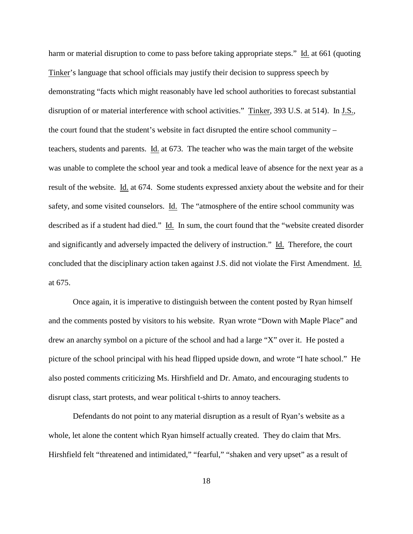harm or material disruption to come to pass before taking appropriate steps." Id. at 661 (quoting Tinker's language that school officials may justify their decision to suppress speech by demonstrating "facts which might reasonably have led school authorities to forecast substantial disruption of or material interference with school activities." Tinker, 393 U.S. at 514). In J.S., the court found that the student's website in fact disrupted the entire school community – teachers, students and parents. Id. at 673. The teacher who was the main target of the website was unable to complete the school year and took a medical leave of absence for the next year as a result of the website. Id. at 674. Some students expressed anxiety about the website and for their safety, and some visited counselors. Id. The "atmosphere of the entire school community was described as if a student had died." Id. In sum, the court found that the "website created disorder and significantly and adversely impacted the delivery of instruction." Id. Therefore, the court concluded that the disciplinary action taken against J.S. did not violate the First Amendment. Id. at 675.

Once again, it is imperative to distinguish between the content posted by Ryan himself and the comments posted by visitors to his website. Ryan wrote "Down with Maple Place" and drew an anarchy symbol on a picture of the school and had a large "X" over it. He posted a picture of the school principal with his head flipped upside down, and wrote "I hate school." He also posted comments criticizing Ms. Hirshfield and Dr. Amato, and encouraging students to disrupt class, start protests, and wear political t-shirts to annoy teachers.

Defendants do not point to any material disruption as a result of Ryan's website as a whole, let alone the content which Ryan himself actually created. They do claim that Mrs. Hirshfield felt "threatened and intimidated," "fearful," "shaken and very upset" as a result of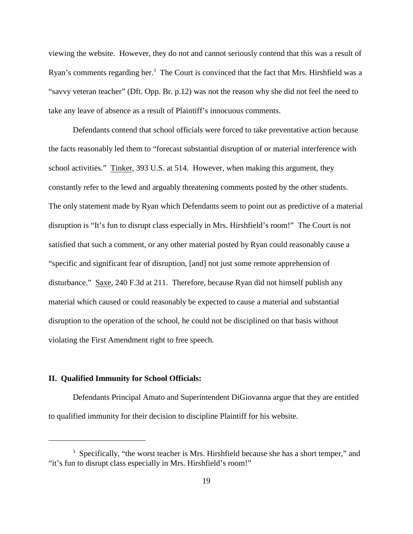viewing the website. However, they do not and cannot seriously contend that this was a result of Ryan's comments regarding her. $3$  The Court is convinced that the fact that Mrs. Hirshfield was a "savvy veteran teacher" (Dft. Opp. Br. p.12) was not the reason why she did not feel the need to take any leave of absence as a result of Plaintiff's innocuous comments.

Defendants contend that school officials were forced to take preventative action because the facts reasonably led them to "forecast substantial disruption of or material interference with school activities." Tinker, 393 U.S. at 514. However, when making this argument, they constantly refer to the lewd and arguably threatening comments posted by the other students. The only statement made by Ryan which Defendants seem to point out as predictive of a material disruption is "It's fun to disrupt class especially in Mrs. Hirshfield's room!" The Court is not satisfied that such a comment, or any other material posted by Ryan could reasonably cause a "specific and significant fear of disruption, [and] not just some remote apprehension of disturbance." Saxe, 240 F.3d at 211. Therefore, because Ryan did not himself publish any material which caused or could reasonably be expected to cause a material and substantial disruption to the operation of the school, he could not be disciplined on that basis without violating the First Amendment right to free speech.

# **II. Qualified Immunity for School Officials:**

Defendants Principal Amato and Superintendent DiGiovanna argue that they are entitled to qualified immunity for their decision to discipline Plaintiff for his website.

 $3\,$  Specifically, "the worst teacher is Mrs. Hirshfield because she has a short temper," and "it's fun to disrupt class especially in Mrs. Hirshfield's room!"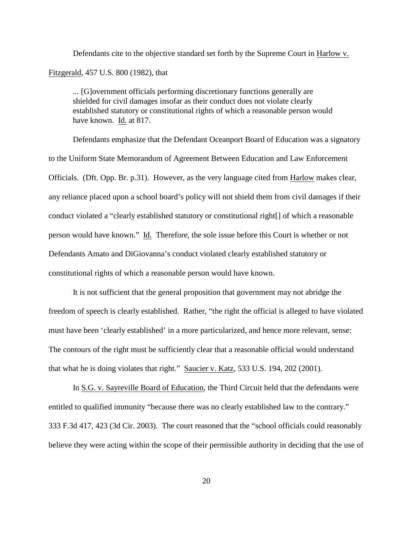Defendants cite to the objective standard set forth by the Supreme Court in Harlow v. Fitzgerald, 457 U.S. 800 (1982), that

... [G]overnment officials performing discretionary functions generally are shielded for civil damages insofar as their conduct does not violate clearly established statutory or constitutional rights of which a reasonable person would have known. Id. at 817.

Defendants emphasize that the Defendant Oceanport Board of Education was a signatory to the Uniform State Memorandum of Agreement Between Education and Law Enforcement Officials. (Dft. Opp. Br. p.31). However, as the very language cited from Harlow makes clear, any reliance placed upon a school board's policy will not shield them from civil damages if their conduct violated a "clearly established statutory or constitutional right[] of which a reasonable person would have known." Id. Therefore, the sole issue before this Court is whether or not Defendants Amato and DiGiovanna's conduct violated clearly established statutory or constitutional rights of which a reasonable person would have known.

It is not sufficient that the general proposition that government may not abridge the freedom of speech is clearly established. Rather, "the right the official is alleged to have violated must have been 'clearly established' in a more particularized, and hence more relevant, sense: The contours of the right must be sufficiently clear that a reasonable official would understand that what he is doing violates that right." Saucier v. Katz, 533 U.S. 194, 202 (2001).

In S.G. v. Sayreville Board of Education, the Third Circuit held that the defendants were entitled to qualified immunity "because there was no clearly established law to the contrary." 333 F.3d 417, 423 (3d Cir. 2003). The court reasoned that the "school officials could reasonably believe they were acting within the scope of their permissible authority in deciding that the use of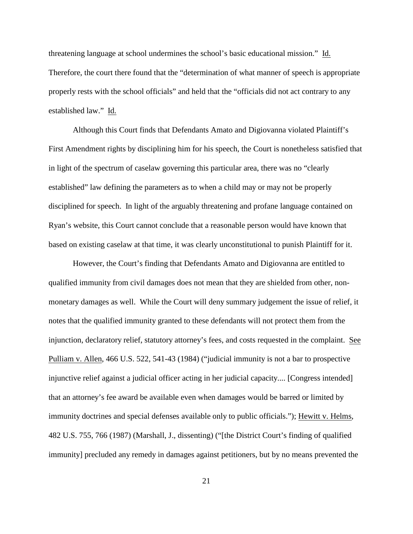threatening language at school undermines the school's basic educational mission." Id. Therefore, the court there found that the "determination of what manner of speech is appropriate properly rests with the school officials" and held that the "officials did not act contrary to any established law." Id.

Although this Court finds that Defendants Amato and Digiovanna violated Plaintiff's First Amendment rights by disciplining him for his speech, the Court is nonetheless satisfied that in light of the spectrum of caselaw governing this particular area, there was no "clearly established" law defining the parameters as to when a child may or may not be properly disciplined for speech. In light of the arguably threatening and profane language contained on Ryan's website, this Court cannot conclude that a reasonable person would have known that based on existing caselaw at that time, it was clearly unconstitutional to punish Plaintiff for it.

However, the Court's finding that Defendants Amato and Digiovanna are entitled to qualified immunity from civil damages does not mean that they are shielded from other, nonmonetary damages as well. While the Court will deny summary judgement the issue of relief, it notes that the qualified immunity granted to these defendants will not protect them from the injunction, declaratory relief, statutory attorney's fees, and costs requested in the complaint. See Pulliam v. Allen, 466 U.S. 522, 541-43 (1984) ("judicial immunity is not a bar to prospective injunctive relief against a judicial officer acting in her judicial capacity.... [Congress intended] that an attorney's fee award be available even when damages would be barred or limited by immunity doctrines and special defenses available only to public officials."); Hewitt v. Helms, 482 U.S. 755, 766 (1987) (Marshall, J., dissenting) ("[the District Court's finding of qualified immunity] precluded any remedy in damages against petitioners, but by no means prevented the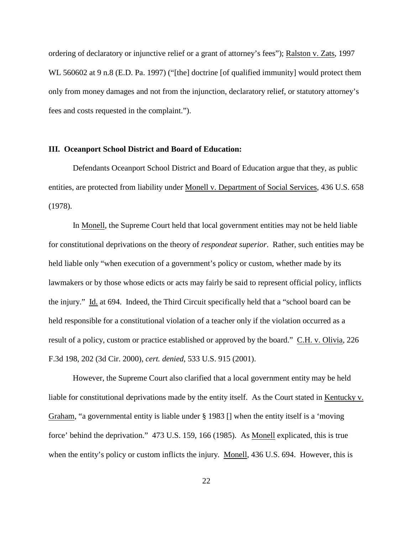ordering of declaratory or injunctive relief or a grant of attorney's fees"); Ralston v. Zats, 1997 WL 560602 at 9 n.8 (E.D. Pa. 1997) ("[the] doctrine [of qualified immunity] would protect them only from money damages and not from the injunction, declaratory relief, or statutory attorney's fees and costs requested in the complaint.").

#### **III. Oceanport School District and Board of Education:**

Defendants Oceanport School District and Board of Education argue that they, as public entities, are protected from liability under Monell v. Department of Social Services, 436 U.S. 658 (1978).

In Monell, the Supreme Court held that local government entities may not be held liable for constitutional deprivations on the theory of *respondeat superior*. Rather, such entities may be held liable only "when execution of a government's policy or custom, whether made by its lawmakers or by those whose edicts or acts may fairly be said to represent official policy, inflicts the injury." Id. at 694. Indeed, the Third Circuit specifically held that a "school board can be held responsible for a constitutional violation of a teacher only if the violation occurred as a result of a policy, custom or practice established or approved by the board." C.H. v. Olivia, 226 F.3d 198, 202 (3d Cir. 2000), *cert. denied*, 533 U.S. 915 (2001).

However, the Supreme Court also clarified that a local government entity may be held liable for constitutional deprivations made by the entity itself. As the Court stated in Kentucky v. Graham, "a governmental entity is liable under § 1983 [] when the entity itself is a 'moving force' behind the deprivation." 473 U.S. 159, 166 (1985). As Monell explicated, this is true when the entity's policy or custom inflicts the injury. Monell, 436 U.S. 694. However, this is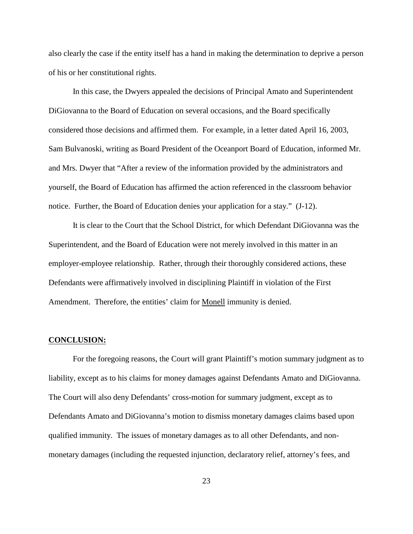also clearly the case if the entity itself has a hand in making the determination to deprive a person of his or her constitutional rights.

In this case, the Dwyers appealed the decisions of Principal Amato and Superintendent DiGiovanna to the Board of Education on several occasions, and the Board specifically considered those decisions and affirmed them. For example, in a letter dated April 16, 2003, Sam Bulvanoski, writing as Board President of the Oceanport Board of Education, informed Mr. and Mrs. Dwyer that "After a review of the information provided by the administrators and yourself, the Board of Education has affirmed the action referenced in the classroom behavior notice. Further, the Board of Education denies your application for a stay." (J-12).

It is clear to the Court that the School District, for which Defendant DiGiovanna was the Superintendent, and the Board of Education were not merely involved in this matter in an employer-employee relationship. Rather, through their thoroughly considered actions, these Defendants were affirmatively involved in disciplining Plaintiff in violation of the First Amendment. Therefore, the entities' claim for Monell immunity is denied.

#### **CONCLUSION:**

For the foregoing reasons, the Court will grant Plaintiff's motion summary judgment as to liability, except as to his claims for money damages against Defendants Amato and DiGiovanna. The Court will also deny Defendants' cross-motion for summary judgment, except as to Defendants Amato and DiGiovanna's motion to dismiss monetary damages claims based upon qualified immunity. The issues of monetary damages as to all other Defendants, and nonmonetary damages (including the requested injunction, declaratory relief, attorney's fees, and